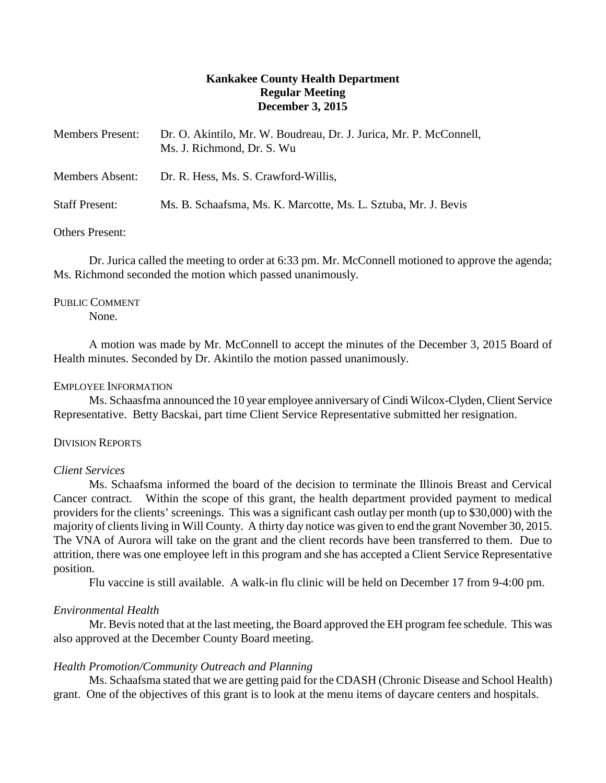# **Kankakee County Health Department Regular Meeting December 3, 2015**

| <b>Members Present:</b> | Dr. O. Akintilo, Mr. W. Boudreau, Dr. J. Jurica, Mr. P. McConnell,<br>Ms. J. Richmond, Dr. S. Wu |
|-------------------------|--------------------------------------------------------------------------------------------------|
| <b>Members Absent:</b>  | Dr. R. Hess, Ms. S. Crawford-Willis,                                                             |
| <b>Staff Present:</b>   | Ms. B. Schaafsma, Ms. K. Marcotte, Ms. L. Sztuba, Mr. J. Bevis                                   |

## Others Present:

Dr. Jurica called the meeting to order at 6:33 pm. Mr. McConnell motioned to approve the agenda; Ms. Richmond seconded the motion which passed unanimously.

## PUBLIC COMMENT

None.

A motion was made by Mr. McConnell to accept the minutes of the December 3, 2015 Board of Health minutes. Seconded by Dr. Akintilo the motion passed unanimously.

### EMPLOYEE INFORMATION

Ms. Schaasfma announced the 10 year employee anniversary of Cindi Wilcox-Clyden, Client Service Representative. Betty Bacskai, part time Client Service Representative submitted her resignation.

### DIVISION REPORTS

## *Client Services*

Ms. Schaafsma informed the board of the decision to terminate the Illinois Breast and Cervical Cancer contract. Within the scope of this grant, the health department provided payment to medical providers for the clients' screenings. This was a significant cash outlay per month (up to \$30,000) with the majority of clients living in Will County. A thirty day notice was given to end the grant November 30, 2015. The VNA of Aurora will take on the grant and the client records have been transferred to them. Due to attrition, there was one employee left in this program and she has accepted a Client Service Representative position.

Flu vaccine is still available. A walk-in flu clinic will be held on December 17 from 9-4:00 pm.

## *Environmental Health*

Mr. Bevis noted that at the last meeting, the Board approved the EH program fee schedule. This was also approved at the December County Board meeting.

## *Health Promotion/Community Outreach and Planning*

Ms. Schaafsma stated that we are getting paid for the CDASH (Chronic Disease and School Health) grant. One of the objectives of this grant is to look at the menu items of daycare centers and hospitals.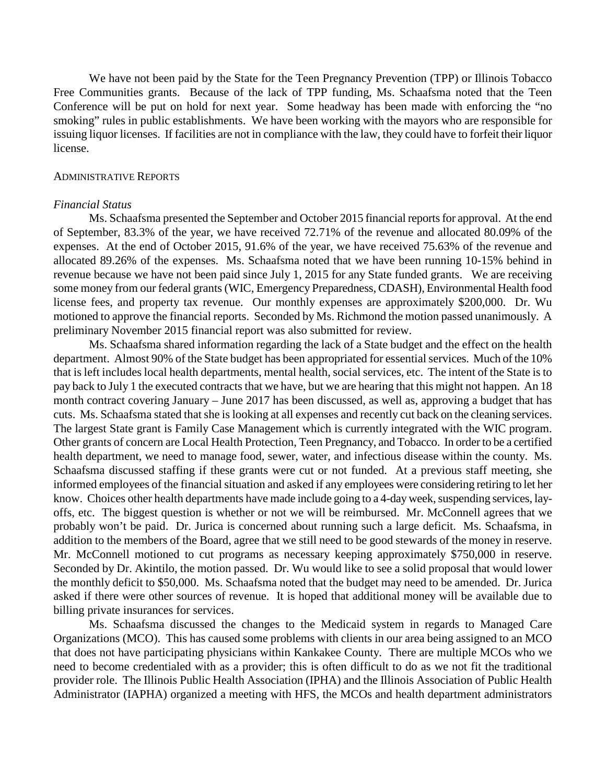We have not been paid by the State for the Teen Pregnancy Prevention (TPP) or Illinois Tobacco Free Communities grants. Because of the lack of TPP funding, Ms. Schaafsma noted that the Teen Conference will be put on hold for next year. Some headway has been made with enforcing the "no smoking" rules in public establishments. We have been working with the mayors who are responsible for issuing liquor licenses. If facilities are not in compliance with the law, they could have to forfeit their liquor license.

#### ADMINISTRATIVE REPORTS

#### *Financial Status*

Ms. Schaafsma presented the September and October 2015 financial reports for approval. At the end of September, 83.3% of the year, we have received 72.71% of the revenue and allocated 80.09% of the expenses. At the end of October 2015, 91.6% of the year, we have received 75.63% of the revenue and allocated 89.26% of the expenses. Ms. Schaafsma noted that we have been running 10-15% behind in revenue because we have not been paid since July 1, 2015 for any State funded grants. We are receiving some money from our federal grants (WIC, Emergency Preparedness, CDASH), Environmental Health food license fees, and property tax revenue. Our monthly expenses are approximately \$200,000. Dr. Wu motioned to approve the financial reports. Seconded by Ms. Richmond the motion passed unanimously. A preliminary November 2015 financial report was also submitted for review.

Ms. Schaafsma shared information regarding the lack of a State budget and the effect on the health department. Almost 90% of the State budget has been appropriated for essential services. Much of the 10% that is left includes local health departments, mental health, social services, etc. The intent of the State is to pay back to July 1 the executed contracts that we have, but we are hearing that this might not happen. An 18 month contract covering January – June 2017 has been discussed, as well as, approving a budget that has cuts. Ms. Schaafsma stated that she is looking at all expenses and recently cut back on the cleaning services. The largest State grant is Family Case Management which is currently integrated with the WIC program. Other grants of concern are Local Health Protection, Teen Pregnancy, and Tobacco. In order to be a certified health department, we need to manage food, sewer, water, and infectious disease within the county. Ms. Schaafsma discussed staffing if these grants were cut or not funded. At a previous staff meeting, she informed employees of the financial situation and asked if any employees were considering retiring to let her know. Choices other health departments have made include going to a 4-day week, suspending services, layoffs, etc. The biggest question is whether or not we will be reimbursed. Mr. McConnell agrees that we probably won't be paid. Dr. Jurica is concerned about running such a large deficit. Ms. Schaafsma, in addition to the members of the Board, agree that we still need to be good stewards of the money in reserve. Mr. McConnell motioned to cut programs as necessary keeping approximately \$750,000 in reserve. Seconded by Dr. Akintilo, the motion passed. Dr. Wu would like to see a solid proposal that would lower the monthly deficit to \$50,000. Ms. Schaafsma noted that the budget may need to be amended. Dr. Jurica asked if there were other sources of revenue. It is hoped that additional money will be available due to billing private insurances for services.

Ms. Schaafsma discussed the changes to the Medicaid system in regards to Managed Care Organizations (MCO). This has caused some problems with clients in our area being assigned to an MCO that does not have participating physicians within Kankakee County. There are multiple MCOs who we need to become credentialed with as a provider; this is often difficult to do as we not fit the traditional provider role. The Illinois Public Health Association (IPHA) and the Illinois Association of Public Health Administrator (IAPHA) organized a meeting with HFS, the MCOs and health department administrators